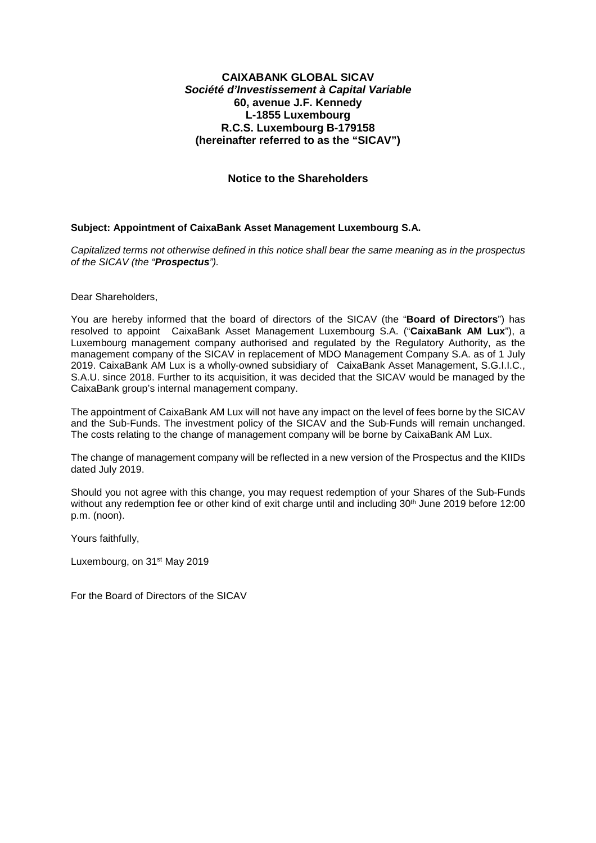# **CAIXABANK GLOBAL SICAV Société d'Investissement à Capital Variable 60, avenue J.F. Kennedy L-1855 Luxembourg R.C.S. Luxembourg B-179158 (hereinafter referred to as the "SICAV")**

# **Notice to the Shareholders**

### **Subject: Appointment of CaixaBank Asset Management Luxembourg S.A.**

Capitalized terms not otherwise defined in this notice shall bear the same meaning as in the prospectus of the SICAV (the "**Prospectus**").

Dear Shareholders,

You are hereby informed that the board of directors of the SICAV (the "**Board of Directors**") has resolved to appoint CaixaBank Asset Management Luxembourg S.A. ("**CaixaBank AM Lux**"), a Luxembourg management company authorised and regulated by the Regulatory Authority, as the management company of the SICAV in replacement of MDO Management Company S.A. as of 1 July 2019. CaixaBank AM Lux is a wholly-owned subsidiary of CaixaBank Asset Management, S.G.I.I.C., S.A.U. since 2018. Further to its acquisition, it was decided that the SICAV would be managed by the CaixaBank group's internal management company.

The appointment of CaixaBank AM Lux will not have any impact on the level of fees borne by the SICAV and the Sub-Funds. The investment policy of the SICAV and the Sub-Funds will remain unchanged. The costs relating to the change of management company will be borne by CaixaBank AM Lux.

The change of management company will be reflected in a new version of the Prospectus and the KIIDs dated July 2019.

Should you not agree with this change, you may request redemption of your Shares of the Sub-Funds without any redemption fee or other kind of exit charge until and including 30<sup>th</sup> June 2019 before 12:00 p.m. (noon).

Yours faithfully,

Luxembourg, on 31st May 2019

For the Board of Directors of the SICAV